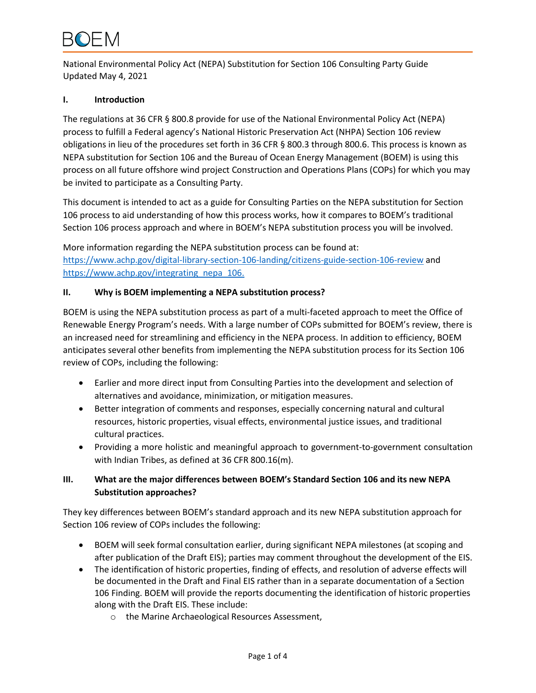# **BOEM**

National Environmental Policy Act (NEPA) Substitution for Section 106 Consulting Party Guide Updated May 4, 2021

#### **I. Introduction**

The regulations at 36 CFR § 800.8 provide for use of the National Environmental Policy Act (NEPA) process to fulfill a Federal agency's National Historic Preservation Act (NHPA) Section 106 review obligations in lieu of the procedures set forth in 36 CFR § 800.3 through 800.6. This process is known as NEPA substitution for Section 106 and the Bureau of Ocean Energy Management (BOEM) is using this process on all future offshore wind project Construction and Operations Plans (COPs) for which you may be invited to participate as a Consulting Party.

This document is intended to act as a guide for Consulting Parties on the NEPA substitution for Section 106 process to aid understanding of how this process works, how it compares to BOEM's traditional Section 106 process approach and where in BOEM's NEPA substitution process you will be involved.

More information regarding the NEPA substitution process can be found at: <https://www.achp.gov/digital-library-section-106-landing/citizens-guide-section-106-review> and https://www.achp.gov/integrating nepa 106.

#### **II. Why is BOEM implementing a NEPA substitution process?**

BOEM is using the NEPA substitution process as part of a multi-faceted approach to meet the Office of Renewable Energy Program's needs. With a large number of COPs submitted for BOEM's review, there is an increased need for streamlining and efficiency in the NEPA process. In addition to efficiency, BOEM anticipates several other benefits from implementing the NEPA substitution process for its Section 106 review of COPs, including the following:

- Earlier and more direct input from Consulting Parties into the development and selection of alternatives and avoidance, minimization, or mitigation measures.
- Better integration of comments and responses, especially concerning natural and cultural resources, historic properties, visual effects, environmental justice issues, and traditional cultural practices.
- Providing a more holistic and meaningful approach to government-to-government consultation with Indian Tribes, as defined at 36 CFR 800.16(m).

#### **III. What are the major differences between BOEM's Standard Section 106 and its new NEPA Substitution approaches?**

They key differences between BOEM's standard approach and its new NEPA substitution approach for Section 106 review of COPs includes the following:

- BOEM will seek formal consultation earlier, during significant NEPA milestones (at scoping and after publication of the Draft EIS); parties may comment throughout the development of the EIS.
- The identification of historic properties, finding of effects, and resolution of adverse effects will be documented in the Draft and Final EIS rather than in a separate documentation of a Section 106 Finding. BOEM will provide the reports documenting the identification of historic properties along with the Draft EIS. These include:
	- o the Marine Archaeological Resources Assessment,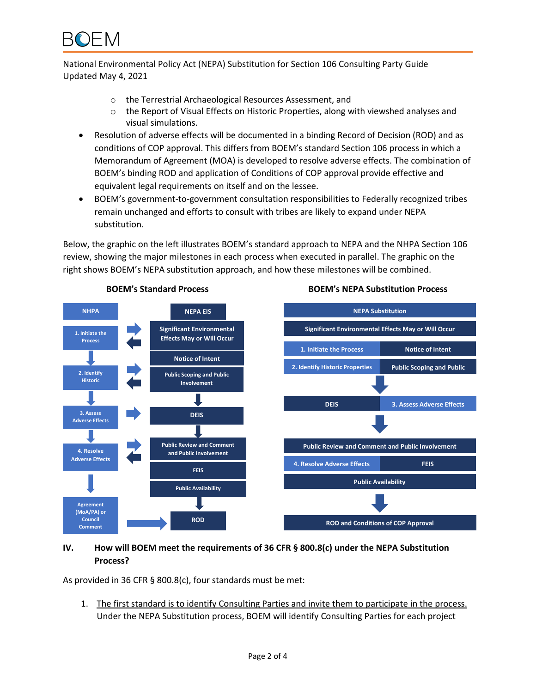

National Environmental Policy Act (NEPA) Substitution for Section 106 Consulting Party Guide Updated May 4, 2021

- o the Terrestrial Archaeological Resources Assessment, and
- $\circ$  the Report of Visual Effects on Historic Properties, along with viewshed analyses and visual simulations.
- Resolution of adverse effects will be documented in a binding Record of Decision (ROD) and as conditions of COP approval. This differs from BOEM's standard Section 106 process in which a Memorandum of Agreement (MOA) is developed to resolve adverse effects. The combination of BOEM's binding ROD and application of Conditions of COP approval provide effective and equivalent legal requirements on itself and on the lessee.
- BOEM's government-to-government consultation responsibilities to Federally recognized tribes remain unchanged and efforts to consult with tribes are likely to expand under NEPA substitution.

Below, the graphic on the left illustrates BOEM's standard approach to NEPA and the NHPA Section 106 review, showing the major milestones in each process when executed in parallel. The graphic on the right shows BOEM's NEPA substitution approach, and how these milestones will be combined.



#### **BOEM's Standard Process BOEM's NEPA Substitution Process**

### **IV. How will BOEM meet the requirements of 36 CFR § 800.8(c) under the NEPA Substitution Process?**

As provided in 36 CFR § 800.8(c), four standards must be met:

1. The first standard is to identify Consulting Parties and invite them to participate in the process. Under the NEPA Substitution process, BOEM will identify Consulting Parties for each project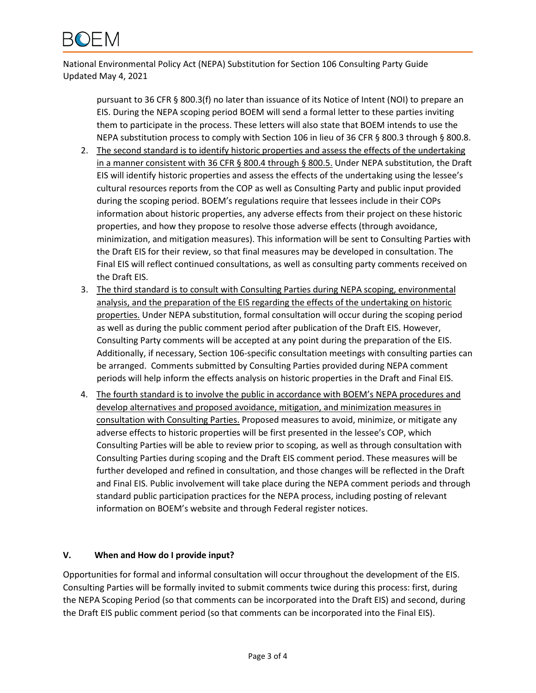# **BOFM**

National Environmental Policy Act (NEPA) Substitution for Section 106 Consulting Party Guide Updated May 4, 2021

pursuant to 36 CFR § 800.3(f) no later than issuance of its Notice of Intent (NOI) to prepare an EIS. During the NEPA scoping period BOEM will send a formal letter to these parties inviting them to participate in the process. These letters will also state that BOEM intends to use the NEPA substitution process to comply with Section 106 in lieu of 36 CFR § 800.3 through § 800.8.

- 2. The second standard is to identify historic properties and assess the effects of the undertaking in a manner consistent with 36 CFR § 800.4 through § 800.5. Under NEPA substitution, the Draft EIS will identify historic properties and assess the effects of the undertaking using the lessee's cultural resources reports from the COP as well as Consulting Party and public input provided during the scoping period. BOEM's regulations require that lessees include in their COPs information about historic properties, any adverse effects from their project on these historic properties, and how they propose to resolve those adverse effects (through avoidance, minimization, and mitigation measures). This information will be sent to Consulting Parties with the Draft EIS for their review, so that final measures may be developed in consultation. The Final EIS will reflect continued consultations, as well as consulting party comments received on the Draft EIS.
- 3. The third standard is to consult with Consulting Parties during NEPA scoping, environmental analysis, and the preparation of the EIS regarding the effects of the undertaking on historic properties. Under NEPA substitution, formal consultation will occur during the scoping period as well as during the public comment period after publication of the Draft EIS. However, Consulting Party comments will be accepted at any point during the preparation of the EIS. Additionally, if necessary, Section 106-specific consultation meetings with consulting parties can be arranged. Comments submitted by Consulting Parties provided during NEPA comment periods will help inform the effects analysis on historic properties in the Draft and Final EIS.
- 4. The fourth standard is to involve the public in accordance with BOEM's NEPA procedures and develop alternatives and proposed avoidance, mitigation, and minimization measures in consultation with Consulting Parties. Proposed measures to avoid, minimize, or mitigate any adverse effects to historic properties will be first presented in the lessee's COP, which Consulting Parties will be able to review prior to scoping, as well as through consultation with Consulting Parties during scoping and the Draft EIS comment period. These measures will be further developed and refined in consultation, and those changes will be reflected in the Draft and Final EIS. Public involvement will take place during the NEPA comment periods and through standard public participation practices for the NEPA process, including posting of relevant information on BOEM's website and through Federal register notices.

#### **V. When and How do I provide input?**

Opportunities for formal and informal consultation will occur throughout the development of the EIS. Consulting Parties will be formally invited to submit comments twice during this process: first, during the NEPA Scoping Period (so that comments can be incorporated into the Draft EIS) and second, during the Draft EIS public comment period (so that comments can be incorporated into the Final EIS).